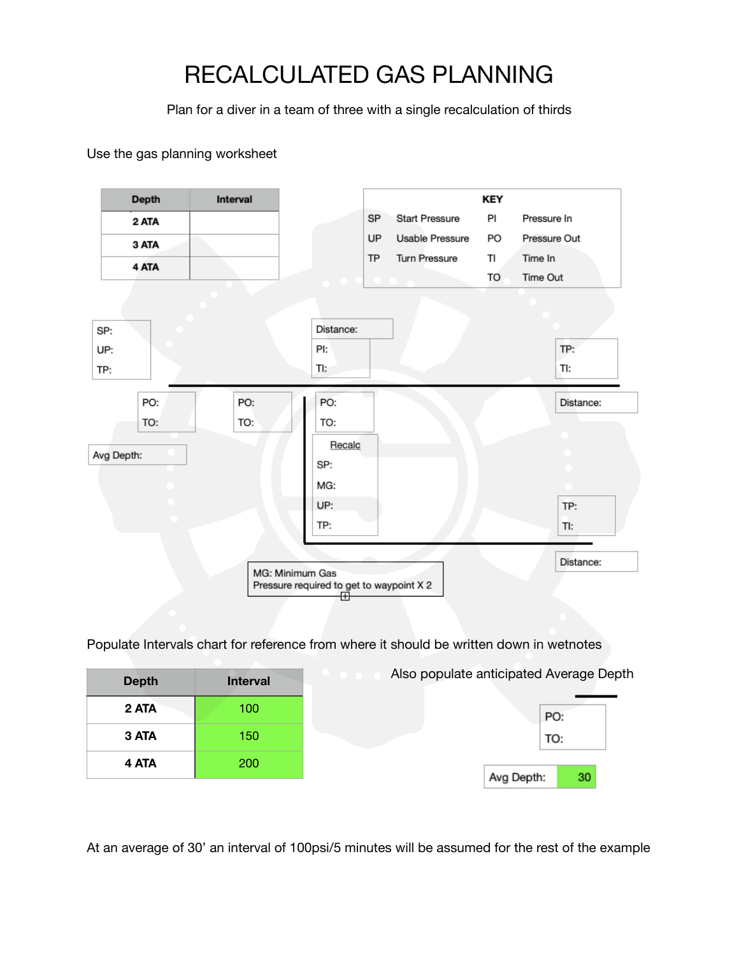## RECALCULATED GAS PLANNING

Plan for a diver in a team of three with a single recalculation of thirds

Use the gas planning worksheet



Populate Intervals chart for reference from where it should be written down in wetnotes

| <b>Depth</b> | <b>Interval</b> | Also populate anticipated Average Depth |
|--------------|-----------------|-----------------------------------------|
| 2 ATA        | 100             | PO:                                     |
| 3 ATA        | 150             | TO:                                     |
| 4 ATA        | 200             |                                         |
|              |                 | 30<br>Avg Depth:                        |

At an average of 30' an interval of 100psi/5 minutes will be assumed for the rest of the example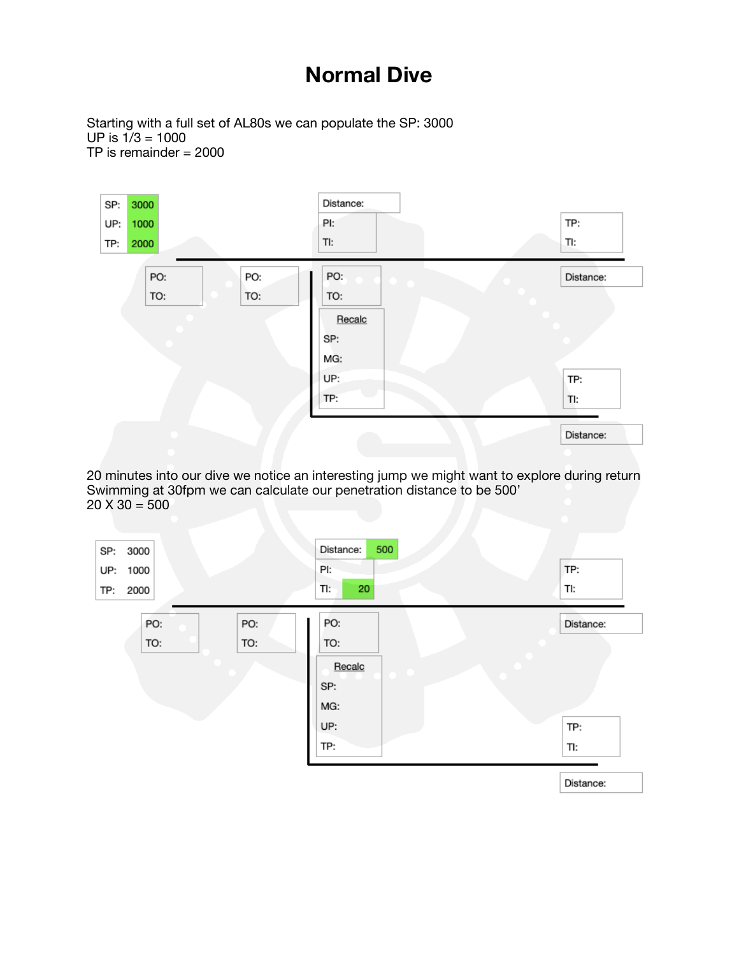## **Normal Dive**

Starting with a full set of AL80s we can populate the SP: 3000  $UP$  is  $1/3 = 1000$ TP is remainder = 2000



20 minutes into our dive we notice an interesting jump we might want to explore during return Swimming at 30fpm we can calculate our penetration distance to be 500'  $20 X 30 = 500$ 

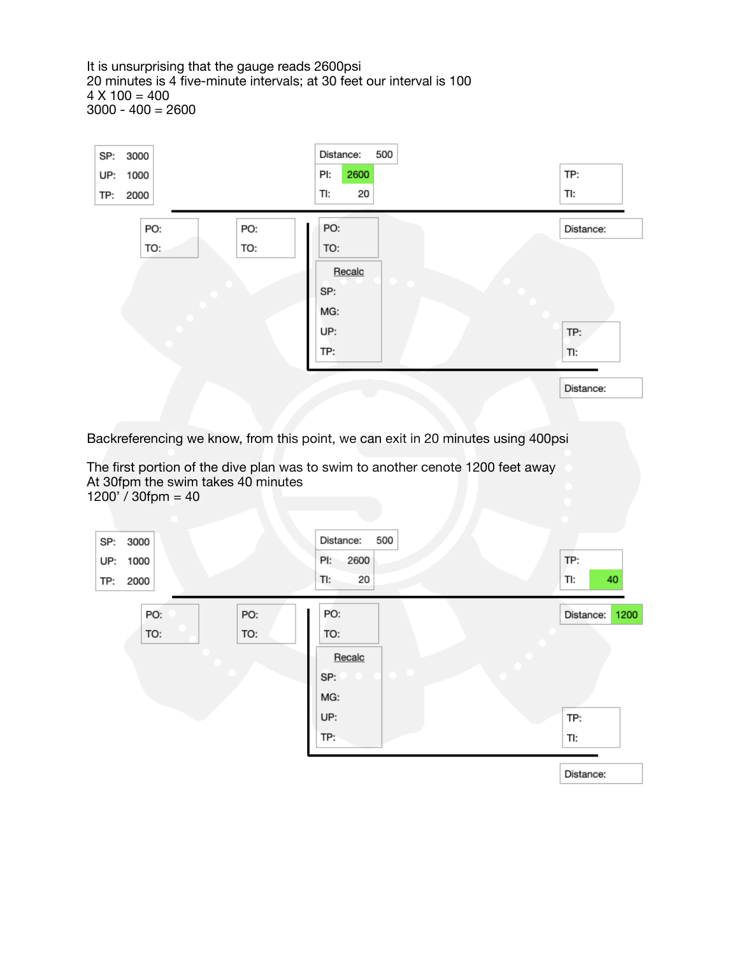It is unsurprising that the gauge reads 2600psi 20 minutes is 4 five-minute intervals; at 30 feet our interval is 100  $4 X 100 = 400$  $3000 - 400 = 2600$ 



Backreferencing we know, from this point, we can exit in 20 minutes using 400psi

The first portion of the dive plan was to swim to another cenote 1200 feet away At 30fpm the swim takes 40 minutes  $1200'$  / 30fpm = 40

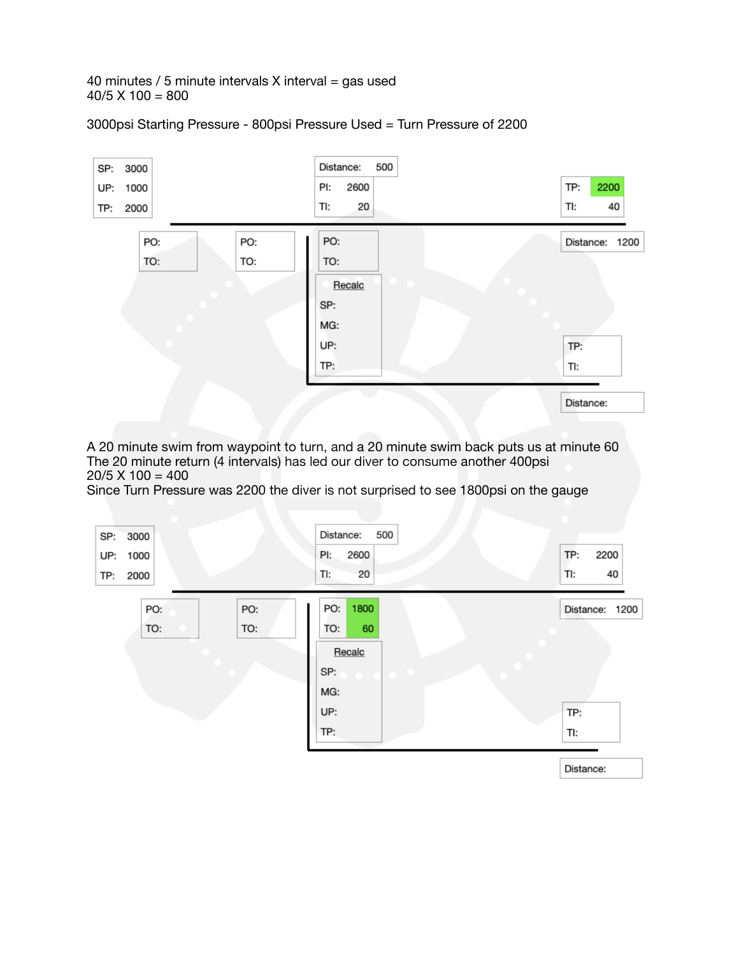40 minutes / 5 minute intervals  $X$  interval = gas used  $40/5$  X 100 = 800

3000psi Starting Pressure - 800psi Pressure Used = Turn Pressure of 2200



A 20 minute swim from waypoint to turn, and a 20 minute swim back puts us at minute 60 The 20 minute return (4 intervals) has led our diver to consume another 400psi  $20/5$  X 100 = 400

Since Turn Pressure was 2200 the diver is not surprised to see 1800psi on the gauge

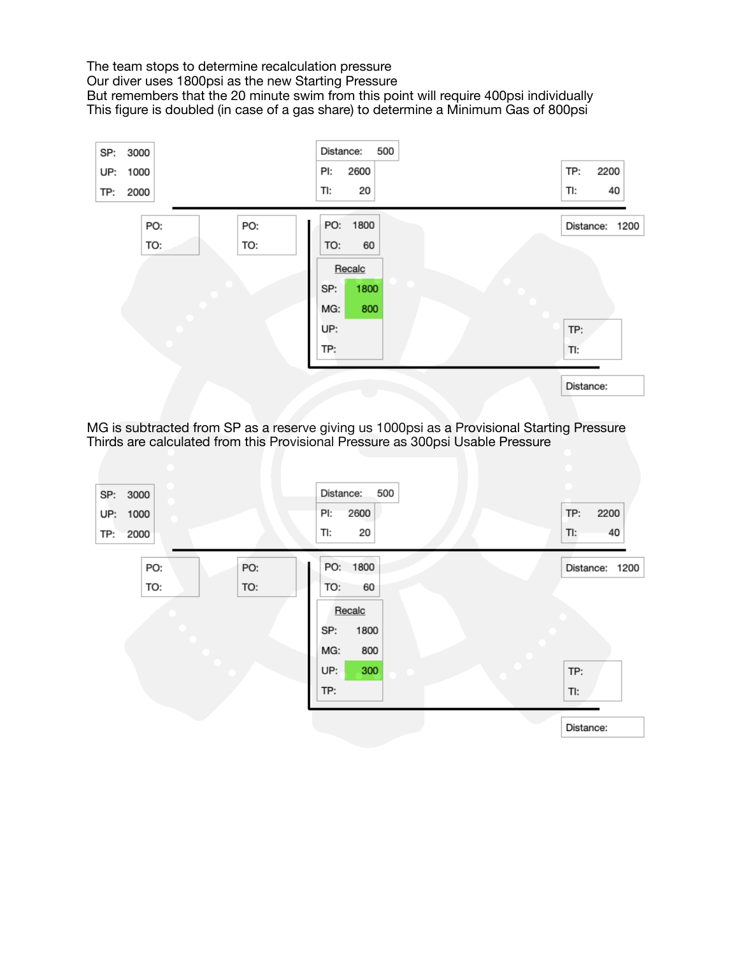The team stops to determine recalculation pressure Our diver uses 1800psi as the new Starting Pressure But remembers that the 20 minute swim from this point will require 400psi individually This figure is doubled (in case of a gas share) to determine a Minimum Gas of 800psi



MG is subtracted from SP as a reserve giving us 1000psi as a Provisional Starting Pressure Thirds are calculated from this Provisional Pressure as 300psi Usable Pressure

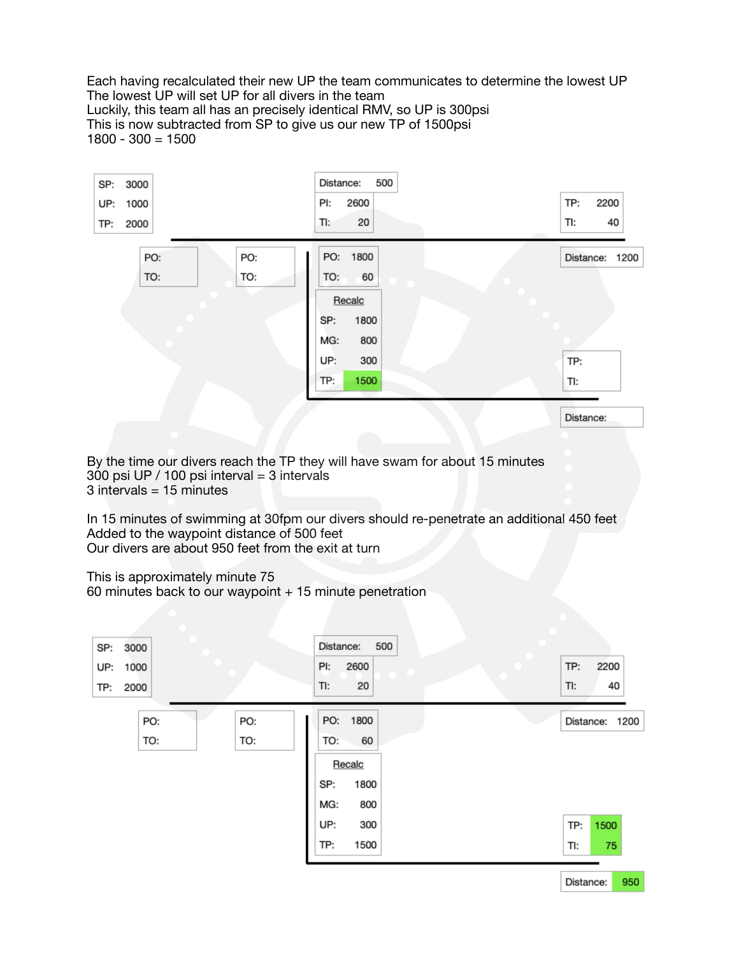Each having recalculated their new UP the team communicates to determine the lowest UP The lowest UP will set UP for all divers in the team Luckily, this team all has an precisely identical RMV, so UP is 300psi This is now subtracted from SP to give us our new TP of 1500psi 1800 - 300 = 1500



By the time our divers reach the TP they will have swam for about 15 minutes 300 psi UP / 100 psi interval = 3 intervals  $3$  intervals = 15 minutes

In 15 minutes of swimming at 30fpm our divers should re-penetrate an additional 450 feet Added to the waypoint distance of 500 feet Our divers are about 950 feet from the exit at turn

This is approximately minute 75

60 minutes back to our waypoint  $+15$  minute penetration

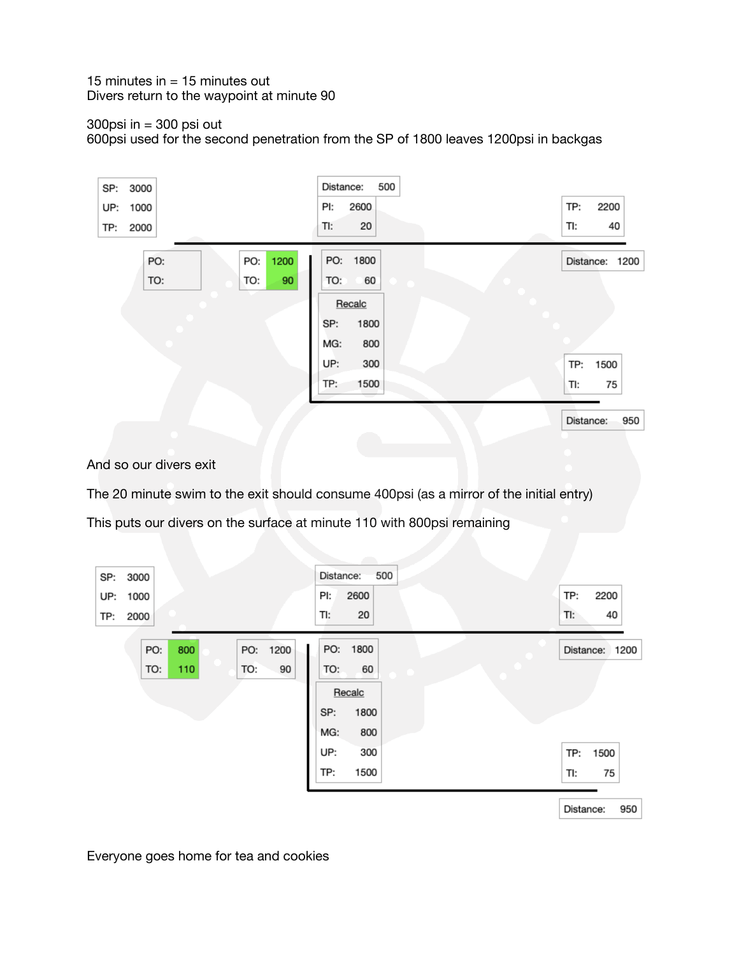15 minutes in  $=$  15 minutes out Divers return to the waypoint at minute 90

## 300 $p$ si in = 300  $p$ si out

600psi used for the second penetration from the SP of 1800 leaves 1200psi in backgas



And so our divers exit

The 20 minute swim to the exit should consume 400psi (as a mirror of the initial entry)

This puts our divers on the surface at minute 110 with 800psi remaining



Everyone goes home for tea and cookies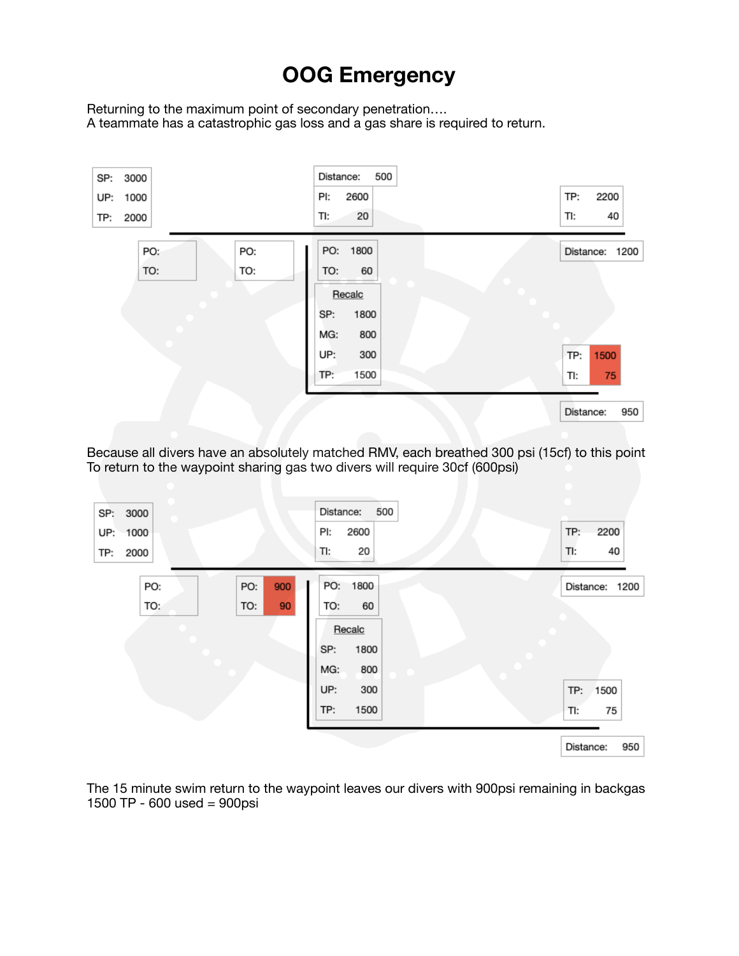## **OOG Emergency**

Returning to the maximum point of secondary penetration…. A teammate has a catastrophic gas loss and a gas share is required to return.



Because all divers have an absolutely matched RMV, each breathed 300 psi (15cf) to this point To return to the waypoint sharing gas two divers will require 30cf (600psi)



The 15 minute swim return to the waypoint leaves our divers with 900psi remaining in backgas 1500 TP - 600 used = 900psi